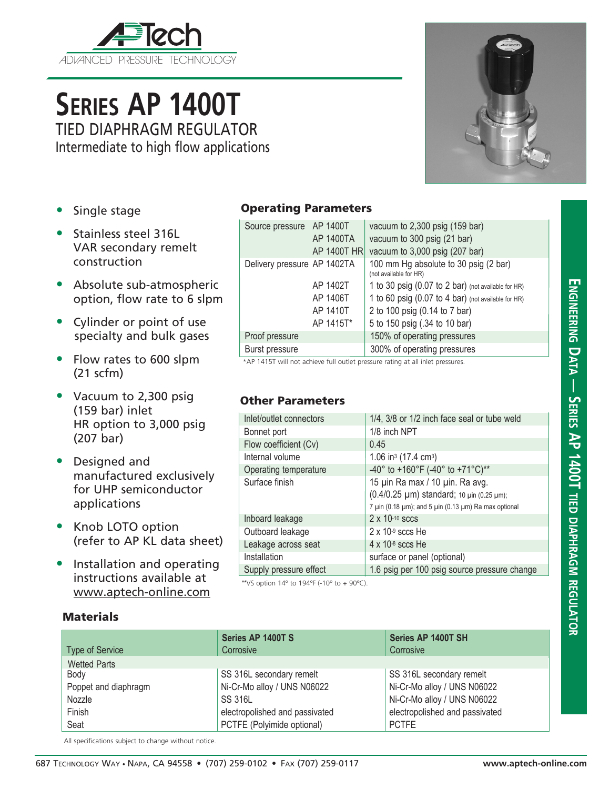

# **Series AP 1400T** TIED DIAPHRAGM REGULATOR

Intermediate to high flow applications

- Single stage
- Stainless steel 316L VAR secondary remelt construction
- Absolute sub-atmospheric option, flow rate to 6 slpm
- Cylinder or point of use specialty and bulk gases
- Flow rates to 600 slpm (21 scfm)
- Vacuum to 2,300 psig (159 bar) inlet HR option to 3,000 psig (207 bar)
- Designed and manufactured exclusively for UHP semiconductor applications
- Knob LOTO option (refer to AP KL data sheet)
- Installation and operating instructions available at www.aptech-online.com

### Operating Parameters

|  | Source pressure AP 1400T    | AP 1400TA<br>AP 1400T HR | vacuum to 2,300 psig (159 bar)<br>vacuum to 300 psig (21 bar)<br>vacuum to 3,000 psig (207 bar) |
|--|-----------------------------|--------------------------|-------------------------------------------------------------------------------------------------|
|  | Delivery pressure AP 1402TA |                          | 100 mm Hg absolute to 30 psig (2 bar)<br>(not available for HR)                                 |
|  |                             | AP 1402T                 | 1 to 30 psig (0.07 to 2 bar) (not available for HR)                                             |
|  |                             | AP 1406T                 | 1 to 60 psig (0.07 to 4 bar) (not available for HR)                                             |
|  |                             | AP 1410T                 | 2 to 100 psig (0.14 to 7 bar)                                                                   |
|  |                             | AP 1415T*                | 5 to 150 psig (.34 to 10 bar)                                                                   |
|  | Proof pressure              |                          | 150% of operating pressures                                                                     |
|  | <b>Burst pressure</b>       |                          | 300% of operating pressures                                                                     |

\*AP 1415T will not achieve full outlet pressure rating at all inlet pressures.

#### Other Parameters

| Inlet/outlet connectors | 1/4, 3/8 or 1/2 inch face seal or tube weld                                                                                                              |  |  |
|-------------------------|----------------------------------------------------------------------------------------------------------------------------------------------------------|--|--|
| Bonnet port             | 1/8 inch NPT                                                                                                                                             |  |  |
| Flow coefficient (Cv)   | 0.45                                                                                                                                                     |  |  |
| Internal volume         | 1.06 in <sup>3</sup> (17.4 cm <sup>3</sup> )                                                                                                             |  |  |
| Operating temperature   | -40° to +160°F (-40° to +71°C)**                                                                                                                         |  |  |
| Surface finish          | 15 µin Ra max / 10 µin. Ra avg.<br>(0.4/0.25 µm) standard; 10 µin (0.25 µm);<br>7 $\mu$ in (0.18 $\mu$ m); and 5 $\mu$ in (0.13 $\mu$ m) Ra max optional |  |  |
| Inboard leakage         | $2 \times 10^{-10}$ sccs                                                                                                                                 |  |  |
| Outboard leakage        | $2 \times 10^{-9}$ sccs He                                                                                                                               |  |  |
| Leakage across seat     | $4 \times 10^{-8}$ sccs He                                                                                                                               |  |  |
| Installation            | surface or panel (optional)                                                                                                                              |  |  |
| Supply pressure effect  | 1.6 psig per 100 psig source pressure change                                                                                                             |  |  |

\*\* VS option  $14^{\circ}$  to  $194^{\circ}$  (-10° to + 90°C).

#### **Materials**

|                        | Series AP 1400T S              | Series AP 1400T SH             |
|------------------------|--------------------------------|--------------------------------|
| <b>Type of Service</b> | Corrosive                      | Corrosive                      |
| <b>Wetted Parts</b>    |                                |                                |
| Body                   | SS 316L secondary remelt       | SS 316L secondary remelt       |
| Poppet and diaphragm   | Ni-Cr-Mo alloy / UNS N06022    | Ni-Cr-Mo alloy / UNS N06022    |
| Nozzle                 | <b>SS 316L</b>                 | Ni-Cr-Mo alloy / UNS N06022    |
| Finish                 | electropolished and passivated | electropolished and passivated |
| Seat                   | PCTFE (Polyimide optional)     | <b>PCTFE</b>                   |

All specifications subject to change without notice.